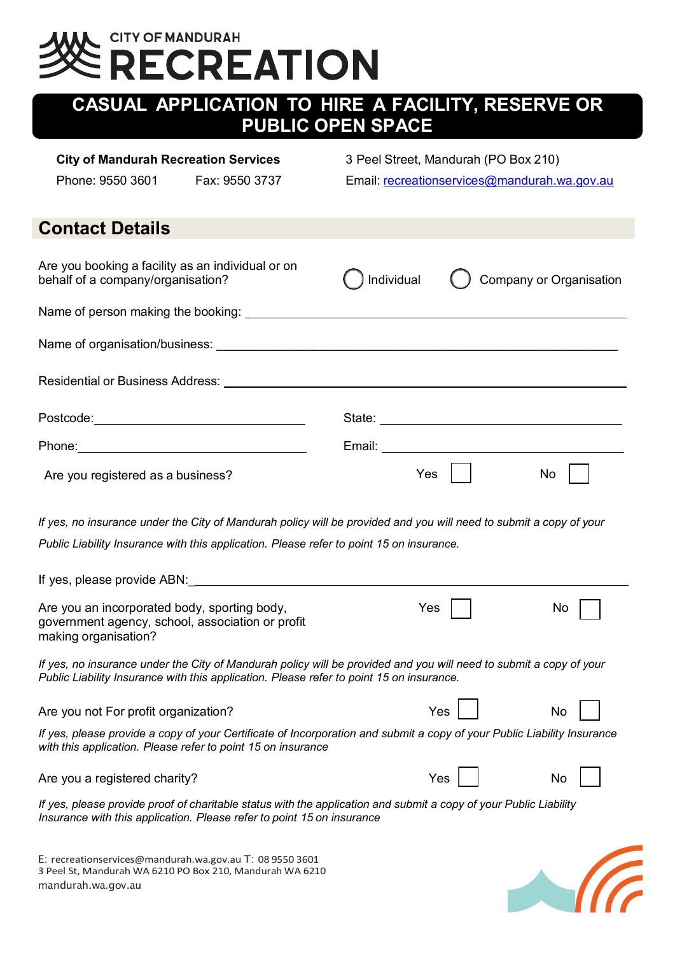# **CITY OF MANDURAH ECREATION**

## **CASUAL APPLICATION TO HIRE A FACILITY, RESERVE OR PUBLIC OPEN SPACE**

### **City of Mandurah Recreation Services** 3 Peel Street, Mandurah (PO Box 210)

Phone: 9550 3601 Fax: 9550 3737 Email: recreationservices@mandurah.wa.gov.au

### **Contact Details**

| Are you booking a facility as an individual or on<br>behalf of a company/organisation? | ) Individual                                                                                                                                                                                                                   | Company or Organisation |
|----------------------------------------------------------------------------------------|--------------------------------------------------------------------------------------------------------------------------------------------------------------------------------------------------------------------------------|-------------------------|
|                                                                                        |                                                                                                                                                                                                                                |                         |
|                                                                                        |                                                                                                                                                                                                                                |                         |
| Residential or Business Address: Networkship                                           |                                                                                                                                                                                                                                |                         |
|                                                                                        | State: The State of the State of the State of the State of the State of the State of the State of the State of the State of the State of the State of the State of the State of the State of the State of the State of the Sta |                         |
|                                                                                        | Email: Email:                                                                                                                                                                                                                  |                         |
| Are you registered as a business?                                                      | Yes                                                                                                                                                                                                                            | No                      |

*If yes, no insurance under the City of Mandurah policy will be provided and you will need to submit a copy of your Public Liability Insurance with this application. Please refer to point 15 on insurance.*

| If yes, please provide ABN:                                                                                                                                                                                    |     |    |
|----------------------------------------------------------------------------------------------------------------------------------------------------------------------------------------------------------------|-----|----|
| Are you an incorporated body, sporting body,<br>government agency, school, association or profit<br>making organisation?                                                                                       | Yes | No |
| If yes, no insurance under the City of Mandurah policy will be provided and you will need to submit a copy of your<br>Public Liability Insurance with this application. Please refer to point 15 on insurance. |     |    |
| Are you not For profit organization?                                                                                                                                                                           | Yes | No |
| If yes, please provide a copy of your Certificate of Incorporation and submit a copy of your Public Liability Insurance<br>with this application. Please refer to point 15 on insurance                        |     |    |
| Are you a registered charity?                                                                                                                                                                                  | Yes | No |
|                                                                                                                                                                                                                |     |    |

If yes, please provide proof of charitable status with the application and submit a copy of your Public Liability *Insurance with this application. Please refer to point 15 on insurance*

E: recreationservices@mandurah.wa.gov.au T: 08 9550 3601 3 Peel St, Mandurah WA 6210 PO Box 210, Mandurah WA 6210 mandurah.wa.gov.au

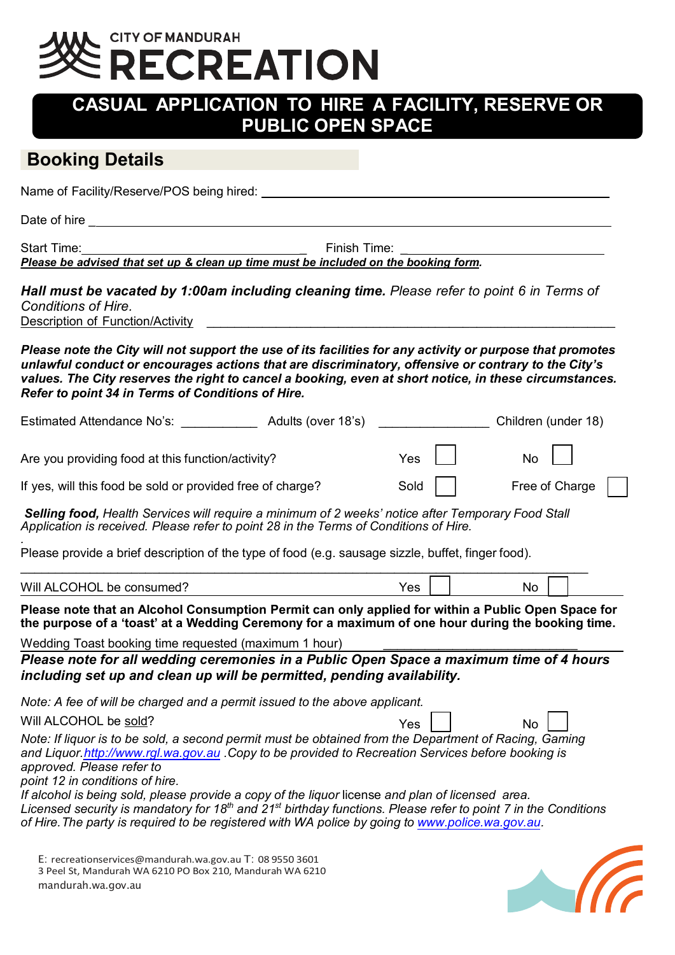# **CITY OF MANDURAH ECREATION**

### **CASUAL APPLICATION TO HIRE A FACILITY, RESERVE OR PUBLIC OPEN SPACE**

### **Booking Details**

Name of Facility/Reserve/POS being hired:  $\blacksquare$ 

Date of hire **Date of his contract of the set of the set of the set of the set of the set of the set of the set of the set of the set of the set of the set of the set of the set of the set of the set of the set of the set** 

Start Time: \_ Finish Time: \_ *Please be advised that set up & clean up time must be included on the booking form.*

*Hall must be vacated by 1:00am including cleaning time. Please refer to point 6 in Terms of Conditions of Hire.* 

Description of Function/Activity **and the set of the set of the set of the set of the set of the set of the set o** 

*Please note the City will not support the use of its facilities for any activity or purpose that promotes unlawful conduct or encourages actions that are discriminatory, offensive or contrary to the City's values. The City reserves the right to cancel a booking, even at short notice, in these circumstances. Refer to point 34 in Terms of Conditions of Hire.*

| Estimated Attendance No's:                                 | Adults (over 18's) |           | Children (under 18)          |
|------------------------------------------------------------|--------------------|-----------|------------------------------|
| Are you providing food at this function/activity?          |                    | $Yes$ $ $ | $\overline{N_{\mathcal{O}}}$ |
| If yes, will this food be sold or provided free of charge? |                    | Sold      | Free of Charge               |

*Selling food, Health Services will require a minimum of 2 weeks' notice after Temporary Food Stall Application is received. Please refer to point 28 in the Terms of Conditions of Hire.*

*.* Please provide a brief description of the type of food (e.g. sausage sizzle, buffet, finger food).

| Will<br>∍∼ | Yes | No |  |
|------------|-----|----|--|

**Please note that an Alcohol Consumption Permit can only applied for within a Public Open Space for the purpose of a 'toast' at a Wedding Ceremony for a maximum of one hour during the booking time.**

Wedding Toast booking time requested (maximum 1 hour)

*Please note for all wedding ceremonies in a Public Open Space a maximum time of 4 hours including set up and clean up will be permitted, pending availability.*

*Note: A fee of will be charged and a permit issued to the above applicant.*

Will ALCOHOL be <u>sold</u>? No will ALCOHOL be sold?

*Note: If liquor is to be sold, a second permit must be obtained from the Department of Racing, Gaming and Liquor[.http://www.rgl.wa.gov.au](http://www.rgl.wa.gov.au/) .Copy to be provided to Recreation Services before booking is approved. Please refer to* 

*point 12 in conditions of hire.* 

*If alcohol is being sold, please provide a copy of the liquor* license *and plan of licensed area. Licensed security is mandatory for 18th and 21st birthday functions. Please refer to point 7 in the Conditions of Hire. The party is required to be registered with WA police by going to [www.police.wa.gov.au.](http://www.police.wa.gov.au/)* 

E: [recreationservices@mandurah.wa.gov.au](mailto:recreationservices@mandurah.wa.gov.au) T: 08 9550 3601 3 Peel St, Mandurah WA 6210 PO Box 210, Mandurah WA 6210 mandurah.wa.gov.au

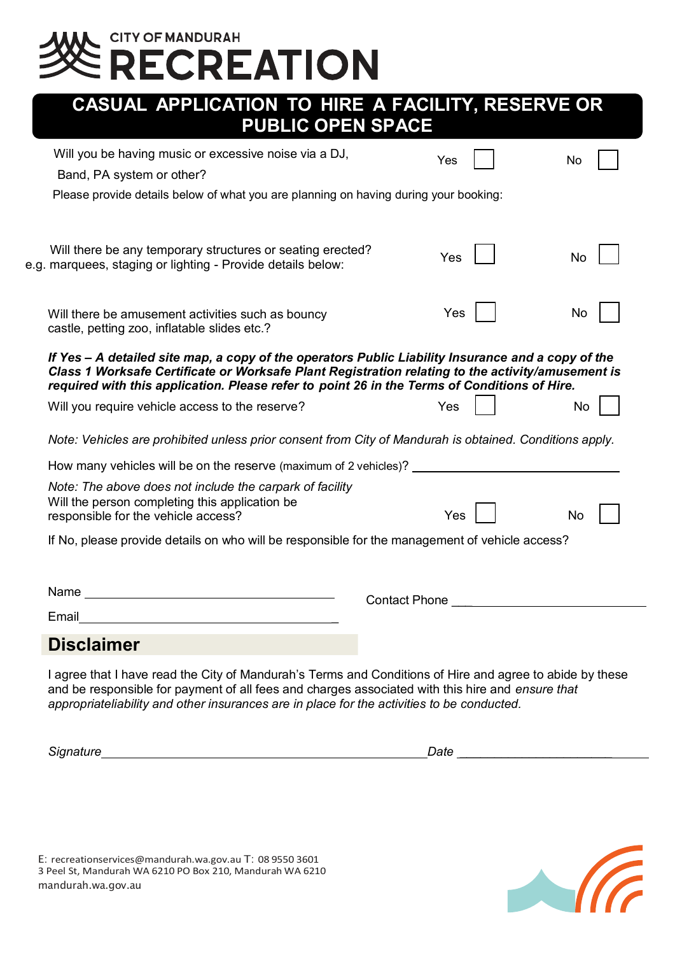# E CITY OF MANDURAH<br>Se RECREATION

| CASUAL APPLICATION TO HIRE A FACILITY, RESERVE OR |
|---------------------------------------------------|
| <b>PUBLIC OPEN SPACE</b>                          |

| Will you be having music or excessive noise via a DJ,<br>Band, PA system or other?                                                                                                                                                                                                                      | Yes                                   | No        |
|---------------------------------------------------------------------------------------------------------------------------------------------------------------------------------------------------------------------------------------------------------------------------------------------------------|---------------------------------------|-----------|
| Please provide details below of what you are planning on having during your booking:                                                                                                                                                                                                                    |                                       |           |
| Will there be any temporary structures or seating erected?<br>e.g. marquees, staging or lighting - Provide details below:                                                                                                                                                                               | Yes                                   | <b>No</b> |
| Will there be amusement activities such as bouncy<br>castle, petting zoo, inflatable slides etc.?                                                                                                                                                                                                       | Yes                                   | No        |
| If Yes - A detailed site map, a copy of the operators Public Liability Insurance and a copy of the<br>Class 1 Worksafe Certificate or Worksafe Plant Registration relating to the activity/amusement is<br>required with this application. Please refer to point 26 in the Terms of Conditions of Hire. |                                       |           |
| Will you require vehicle access to the reserve?                                                                                                                                                                                                                                                         | Yes                                   | No        |
| Note: Vehicles are prohibited unless prior consent from City of Mandurah is obtained. Conditions apply.                                                                                                                                                                                                 |                                       |           |
| How many vehicles will be on the reserve (maximum of 2 vehicles)? __________________________________                                                                                                                                                                                                    |                                       |           |
| Note: The above does not include the carpark of facility<br>Will the person completing this application be<br>responsible for the vehicle access?                                                                                                                                                       | Yes                                   | <b>No</b> |
| If No, please provide details on who will be responsible for the management of vehicle access?                                                                                                                                                                                                          |                                       |           |
| Email <b>Executive Contract Contract Contract Contract Contract Contract Contract Contract Contract Contract Contract Contract Contract Contract Contract Contract Contract Contract Contract Contract Contract Contract Contrac</b>                                                                    | Contact Phone _______________________ |           |
| <b>Disclaimer</b>                                                                                                                                                                                                                                                                                       |                                       |           |

I agree that I have read the City of Mandurah's Terms and Conditions of Hire and agree to abide by these and be responsible for payment of all fees and charges associated with this hire and *ensure that appropriateliability and other insurances are in place for the activities to be conducted.*

*Signature Date \_\_\_\_\_\_\_\_\_\_\_\_\_\_\_\_\_\_\_\_\_\_*

E: recreationservices@mandurah.wa.gov.au T: 08 9550 3601 3 Peel St, Mandurah WA 6210 PO Box 210, Mandurah WA 6210 mandurah.wa.gov.au